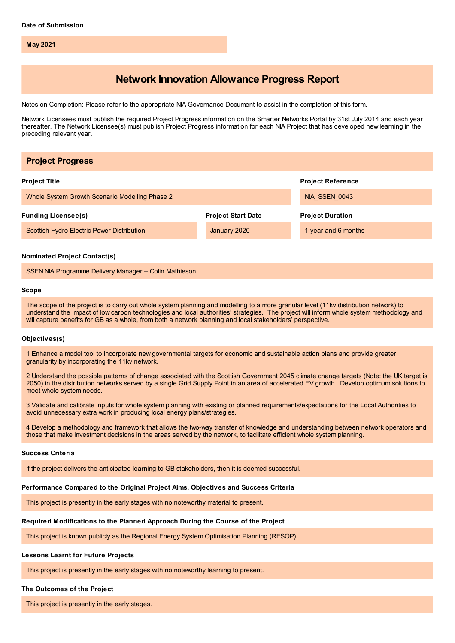**May 2021**

# **Network Innovation Allowance Progress Report**

Notes on Completion: Please refer to the appropriate NIA Governance Document to assist in the completion of this form.

Network Licensees must publish the required Project Progress information on the Smarter Networks Portal by 31st July 2014 and each year thereafter. The Network Licensee(s) must publish Project Progress information for each NIA Project that has developed new learning in the preceding relevant year.

| <b>Project Progress</b>                               |                           |                          |
|-------------------------------------------------------|---------------------------|--------------------------|
| <b>Project Title</b>                                  |                           | <b>Project Reference</b> |
| Whole System Growth Scenario Modelling Phase 2        |                           | NIA SSEN 0043            |
| <b>Funding Licensee(s)</b>                            | <b>Project Start Date</b> | <b>Project Duration</b>  |
| Scottish Hydro Electric Power Distribution            | January 2020              | 1 year and 6 months      |
| <b>Nominated Project Contact(s)</b>                   |                           |                          |
| SSEN NIA Programme Delivery Manager - Colin Mathieson |                           |                          |

#### **Scope**

The scope of the project is to carry out whole system planning and modelling to a more granular level (11kv distribution network) to understand the impact of low carbon technologies and local authorities' strategies. The project will inform whole system methodology and will capture benefits for GB as a whole, from both a network planning and local stakeholders' perspective.

#### **Objectives(s)**

1 Enhance a model tool to incorporate new governmental targets for economic and sustainable action plans and provide greater granularity by incorporating the 11kv network.

2 Understand the possible patterns of change associated with the Scottish Government 2045 climate change targets (Note: the UK target is 2050) in the distribution networks served by a single Grid Supply Point in an area of accelerated EV growth. Develop optimum solutions to meet whole system needs.

3 Validate and calibrate inputs for whole system planning with existing or planned requirements/expectations for the Local Authorities to avoid unnecessary extra work in producing local energy plans/strategies.

4 Develop a methodology and framework that allows the two-way transfer of knowledge and understanding between network operators and those that make investment decisions in the areas served by the network, to facilitate efficient whole system planning.

#### **Success Criteria**

If the project delivers the anticipated learning to GB stakeholders, then it is deemed successful.

#### **Performance Compared to the Original Project Aims, Objectives and Success Criteria**

This project is presently in the early stages with no noteworthy material to present.

#### **Required Modifications to the Planned Approach During the Course of the Project**

This project is known publicly as the Regional Energy System Optimisation Planning (RESOP)

### **Lessons Learnt for Future Projects**

This project is presently in the early stages with no noteworthy learning to present.

#### **The Outcomes of the Project**

This project is presently in the early stages.